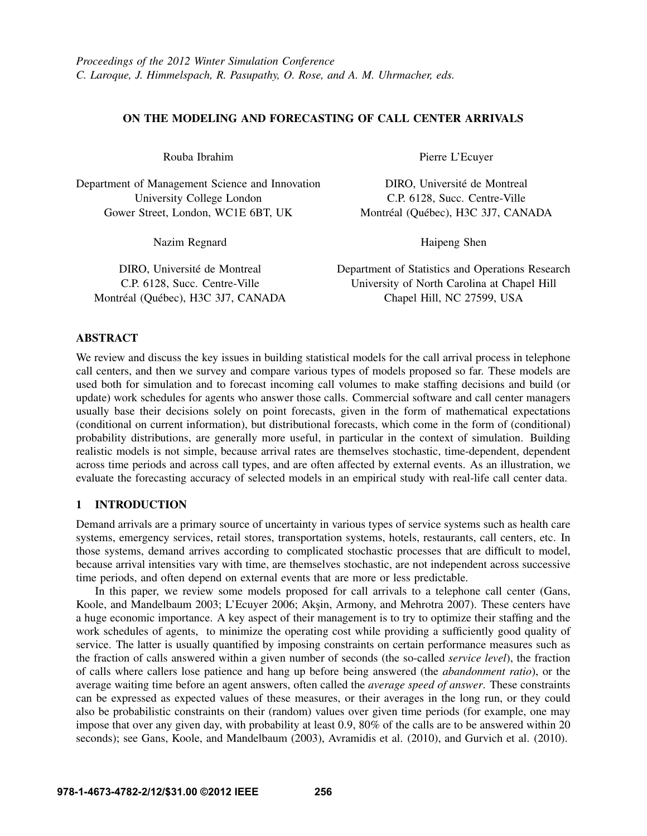## ON THE MODELING AND FORECASTING OF CALL CENTER ARRIVALS

Rouba Ibrahim

Department of Management Science and Innovation University College London Gower Street, London, WC1E 6BT, UK

Nazim Regnard

DIRO, Université de Montreal C.P. 6128, Succ. Centre-Ville Montréal (Québec), H3C 3J7, CANADA Pierre L'Ecuyer

DIRO, Université de Montreal C.P. 6128, Succ. Centre-Ville Montréal (Québec), H3C 3J7, CANADA

Haipeng Shen

Department of Statistics and Operations Research University of North Carolina at Chapel Hill Chapel Hill, NC 27599, USA

# ABSTRACT

We review and discuss the key issues in building statistical models for the call arrival process in telephone call centers, and then we survey and compare various types of models proposed so far. These models are used both for simulation and to forecast incoming call volumes to make staffing decisions and build (or update) work schedules for agents who answer those calls. Commercial software and call center managers usually base their decisions solely on point forecasts, given in the form of mathematical expectations (conditional on current information), but distributional forecasts, which come in the form of (conditional) probability distributions, are generally more useful, in particular in the context of simulation. Building realistic models is not simple, because arrival rates are themselves stochastic, time-dependent, dependent across time periods and across call types, and are often affected by external events. As an illustration, we evaluate the forecasting accuracy of selected models in an empirical study with real-life call center data.

# 1 INTRODUCTION

Demand arrivals are a primary source of uncertainty in various types of service systems such as health care systems, emergency services, retail stores, transportation systems, hotels, restaurants, call centers, etc. In those systems, demand arrives according to complicated stochastic processes that are difficult to model, because arrival intensities vary with time, are themselves stochastic, are not independent across successive time periods, and often depend on external events that are more or less predictable.

In this paper, we review some models proposed for call arrivals to a telephone call center (Gans, Koole, and Mandelbaum 2003; L'Ecuyer 2006; Akşin, Armony, and Mehrotra 2007). These centers have a huge economic importance. A key aspect of their management is to try to optimize their staffing and the work schedules of agents, to minimize the operating cost while providing a sufficiently good quality of service. The latter is usually quantified by imposing constraints on certain performance measures such as the fraction of calls answered within a given number of seconds (the so-called *service level*), the fraction of calls where callers lose patience and hang up before being answered (the *abandonment ratio*), or the average waiting time before an agent answers, often called the *average speed of answer*. These constraints can be expressed as expected values of these measures, or their averages in the long run, or they could also be probabilistic constraints on their (random) values over given time periods (for example, one may impose that over any given day, with probability at least 0.9, 80% of the calls are to be answered within 20 seconds); see Gans, Koole, and Mandelbaum (2003), Avramidis et al. (2010), and Gurvich et al. (2010).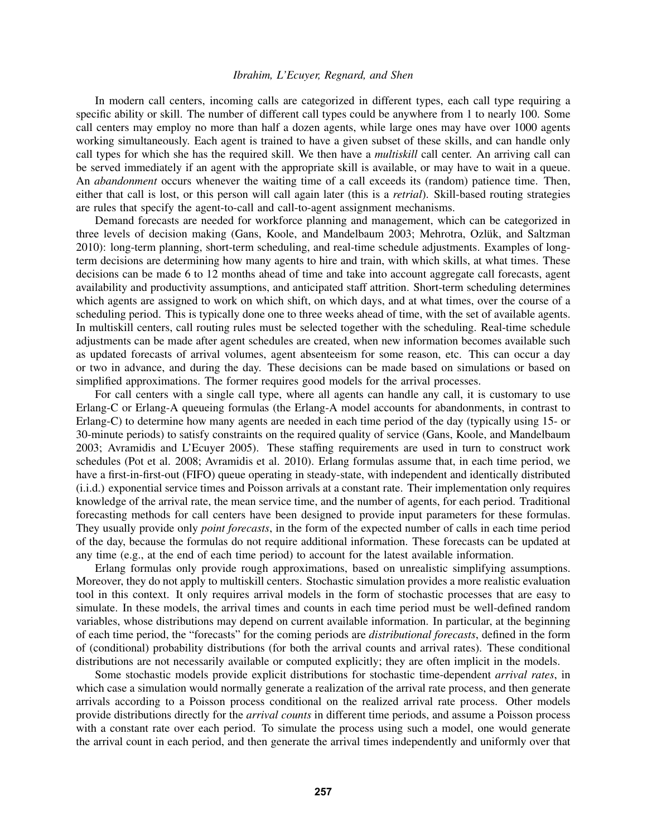In modern call centers, incoming calls are categorized in different types, each call type requiring a specific ability or skill. The number of different call types could be anywhere from 1 to nearly 100. Some call centers may employ no more than half a dozen agents, while large ones may have over 1000 agents working simultaneously. Each agent is trained to have a given subset of these skills, and can handle only call types for which she has the required skill. We then have a *multiskill* call center. An arriving call can be served immediately if an agent with the appropriate skill is available, or may have to wait in a queue. An *abandonment* occurs whenever the waiting time of a call exceeds its (random) patience time. Then, either that call is lost, or this person will call again later (this is a *retrial*). Skill-based routing strategies are rules that specify the agent-to-call and call-to-agent assignment mechanisms.

Demand forecasts are needed for workforce planning and management, which can be categorized in three levels of decision making (Gans, Koole, and Mandelbaum 2003; Mehrotra, Ozlük, and Saltzman 2010): long-term planning, short-term scheduling, and real-time schedule adjustments. Examples of longterm decisions are determining how many agents to hire and train, with which skills, at what times. These decisions can be made 6 to 12 months ahead of time and take into account aggregate call forecasts, agent availability and productivity assumptions, and anticipated staff attrition. Short-term scheduling determines which agents are assigned to work on which shift, on which days, and at what times, over the course of a scheduling period. This is typically done one to three weeks ahead of time, with the set of available agents. In multiskill centers, call routing rules must be selected together with the scheduling. Real-time schedule adjustments can be made after agent schedules are created, when new information becomes available such as updated forecasts of arrival volumes, agent absenteeism for some reason, etc. This can occur a day or two in advance, and during the day. These decisions can be made based on simulations or based on simplified approximations. The former requires good models for the arrival processes.

For call centers with a single call type, where all agents can handle any call, it is customary to use Erlang-C or Erlang-A queueing formulas (the Erlang-A model accounts for abandonments, in contrast to Erlang-C) to determine how many agents are needed in each time period of the day (typically using 15- or 30-minute periods) to satisfy constraints on the required quality of service (Gans, Koole, and Mandelbaum 2003; Avramidis and L'Ecuyer 2005). These staffing requirements are used in turn to construct work schedules (Pot et al. 2008; Avramidis et al. 2010). Erlang formulas assume that, in each time period, we have a first-in-first-out (FIFO) queue operating in steady-state, with independent and identically distributed (i.i.d.) exponential service times and Poisson arrivals at a constant rate. Their implementation only requires knowledge of the arrival rate, the mean service time, and the number of agents, for each period. Traditional forecasting methods for call centers have been designed to provide input parameters for these formulas. They usually provide only *point forecasts*, in the form of the expected number of calls in each time period of the day, because the formulas do not require additional information. These forecasts can be updated at any time (e.g., at the end of each time period) to account for the latest available information.

Erlang formulas only provide rough approximations, based on unrealistic simplifying assumptions. Moreover, they do not apply to multiskill centers. Stochastic simulation provides a more realistic evaluation tool in this context. It only requires arrival models in the form of stochastic processes that are easy to simulate. In these models, the arrival times and counts in each time period must be well-defined random variables, whose distributions may depend on current available information. In particular, at the beginning of each time period, the "forecasts" for the coming periods are *distributional forecasts*, defined in the form of (conditional) probability distributions (for both the arrival counts and arrival rates). These conditional distributions are not necessarily available or computed explicitly; they are often implicit in the models.

Some stochastic models provide explicit distributions for stochastic time-dependent *arrival rates*, in which case a simulation would normally generate a realization of the arrival rate process, and then generate arrivals according to a Poisson process conditional on the realized arrival rate process. Other models provide distributions directly for the *arrival counts* in different time periods, and assume a Poisson process with a constant rate over each period. To simulate the process using such a model, one would generate the arrival count in each period, and then generate the arrival times independently and uniformly over that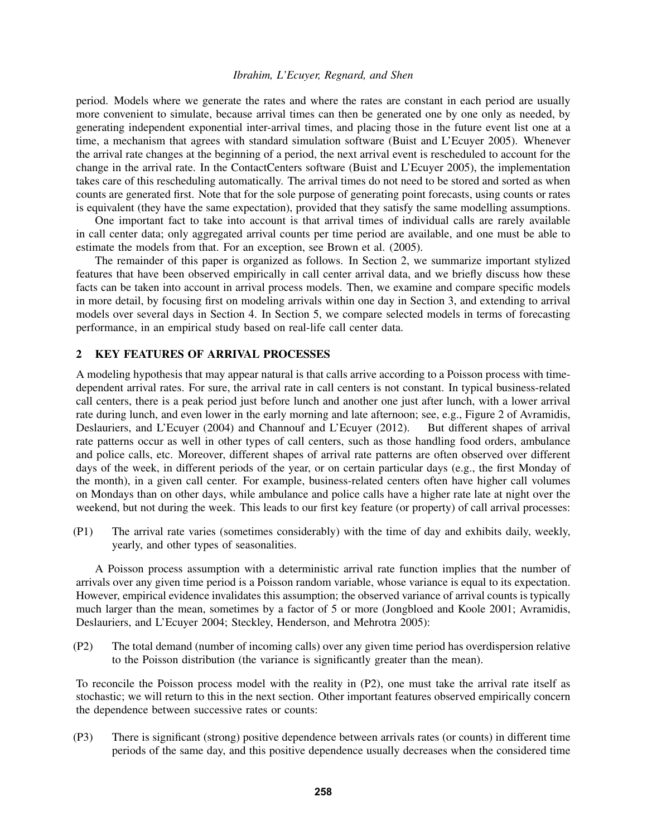period. Models where we generate the rates and where the rates are constant in each period are usually more convenient to simulate, because arrival times can then be generated one by one only as needed, by generating independent exponential inter-arrival times, and placing those in the future event list one at a time, a mechanism that agrees with standard simulation software (Buist and L'Ecuyer 2005). Whenever the arrival rate changes at the beginning of a period, the next arrival event is rescheduled to account for the change in the arrival rate. In the ContactCenters software (Buist and L'Ecuyer 2005), the implementation takes care of this rescheduling automatically. The arrival times do not need to be stored and sorted as when counts are generated first. Note that for the sole purpose of generating point forecasts, using counts or rates is equivalent (they have the same expectation), provided that they satisfy the same modelling assumptions.

One important fact to take into account is that arrival times of individual calls are rarely available in call center data; only aggregated arrival counts per time period are available, and one must be able to estimate the models from that. For an exception, see Brown et al. (2005).

The remainder of this paper is organized as follows. In Section 2, we summarize important stylized features that have been observed empirically in call center arrival data, and we briefly discuss how these facts can be taken into account in arrival process models. Then, we examine and compare specific models in more detail, by focusing first on modeling arrivals within one day in Section 3, and extending to arrival models over several days in Section 4. In Section 5, we compare selected models in terms of forecasting performance, in an empirical study based on real-life call center data.

### 2 KEY FEATURES OF ARRIVAL PROCESSES

A modeling hypothesis that may appear natural is that calls arrive according to a Poisson process with timedependent arrival rates. For sure, the arrival rate in call centers is not constant. In typical business-related call centers, there is a peak period just before lunch and another one just after lunch, with a lower arrival rate during lunch, and even lower in the early morning and late afternoon; see, e.g., Figure 2 of Avramidis, Deslauriers, and L'Ecuyer (2004) and Channouf and L'Ecuyer (2012). But different shapes of arrival rate patterns occur as well in other types of call centers, such as those handling food orders, ambulance and police calls, etc. Moreover, different shapes of arrival rate patterns are often observed over different days of the week, in different periods of the year, or on certain particular days (e.g., the first Monday of the month), in a given call center. For example, business-related centers often have higher call volumes on Mondays than on other days, while ambulance and police calls have a higher rate late at night over the weekend, but not during the week. This leads to our first key feature (or property) of call arrival processes:

(P1) The arrival rate varies (sometimes considerably) with the time of day and exhibits daily, weekly, yearly, and other types of seasonalities.

A Poisson process assumption with a deterministic arrival rate function implies that the number of arrivals over any given time period is a Poisson random variable, whose variance is equal to its expectation. However, empirical evidence invalidates this assumption; the observed variance of arrival counts is typically much larger than the mean, sometimes by a factor of 5 or more (Jongbloed and Koole 2001; Avramidis, Deslauriers, and L'Ecuyer 2004; Steckley, Henderson, and Mehrotra 2005):

(P2) The total demand (number of incoming calls) over any given time period has overdispersion relative to the Poisson distribution (the variance is significantly greater than the mean).

To reconcile the Poisson process model with the reality in (P2), one must take the arrival rate itself as stochastic; we will return to this in the next section. Other important features observed empirically concern the dependence between successive rates or counts:

(P3) There is significant (strong) positive dependence between arrivals rates (or counts) in different time periods of the same day, and this positive dependence usually decreases when the considered time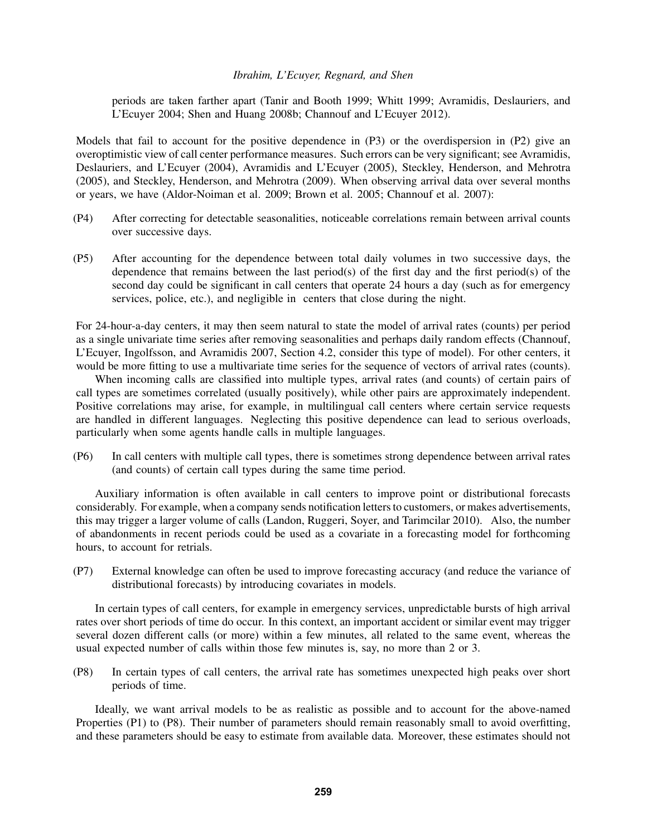periods are taken farther apart (Tanir and Booth 1999; Whitt 1999; Avramidis, Deslauriers, and L'Ecuyer 2004; Shen and Huang 2008b; Channouf and L'Ecuyer 2012).

Models that fail to account for the positive dependence in (P3) or the overdispersion in (P2) give an overoptimistic view of call center performance measures. Such errors can be very significant; see Avramidis, Deslauriers, and L'Ecuyer (2004), Avramidis and L'Ecuyer (2005), Steckley, Henderson, and Mehrotra (2005), and Steckley, Henderson, and Mehrotra (2009). When observing arrival data over several months or years, we have (Aldor-Noiman et al. 2009; Brown et al. 2005; Channouf et al. 2007):

- (P4) After correcting for detectable seasonalities, noticeable correlations remain between arrival counts over successive days.
- (P5) After accounting for the dependence between total daily volumes in two successive days, the dependence that remains between the last period(s) of the first day and the first period(s) of the second day could be significant in call centers that operate 24 hours a day (such as for emergency services, police, etc.), and negligible in centers that close during the night.

For 24-hour-a-day centers, it may then seem natural to state the model of arrival rates (counts) per period as a single univariate time series after removing seasonalities and perhaps daily random effects (Channouf, L'Ecuyer, Ingolfsson, and Avramidis 2007, Section 4.2, consider this type of model). For other centers, it would be more fitting to use a multivariate time series for the sequence of vectors of arrival rates (counts).

When incoming calls are classified into multiple types, arrival rates (and counts) of certain pairs of call types are sometimes correlated (usually positively), while other pairs are approximately independent. Positive correlations may arise, for example, in multilingual call centers where certain service requests are handled in different languages. Neglecting this positive dependence can lead to serious overloads, particularly when some agents handle calls in multiple languages.

(P6) In call centers with multiple call types, there is sometimes strong dependence between arrival rates (and counts) of certain call types during the same time period.

Auxiliary information is often available in call centers to improve point or distributional forecasts considerably. For example, when a company sends notification letters to customers, or makes advertisements, this may trigger a larger volume of calls (Landon, Ruggeri, Soyer, and Tarimcilar 2010). Also, the number of abandonments in recent periods could be used as a covariate in a forecasting model for forthcoming hours, to account for retrials.

(P7) External knowledge can often be used to improve forecasting accuracy (and reduce the variance of distributional forecasts) by introducing covariates in models.

In certain types of call centers, for example in emergency services, unpredictable bursts of high arrival rates over short periods of time do occur. In this context, an important accident or similar event may trigger several dozen different calls (or more) within a few minutes, all related to the same event, whereas the usual expected number of calls within those few minutes is, say, no more than 2 or 3.

(P8) In certain types of call centers, the arrival rate has sometimes unexpected high peaks over short periods of time.

Ideally, we want arrival models to be as realistic as possible and to account for the above-named Properties (P1) to (P8). Their number of parameters should remain reasonably small to avoid overfitting, and these parameters should be easy to estimate from available data. Moreover, these estimates should not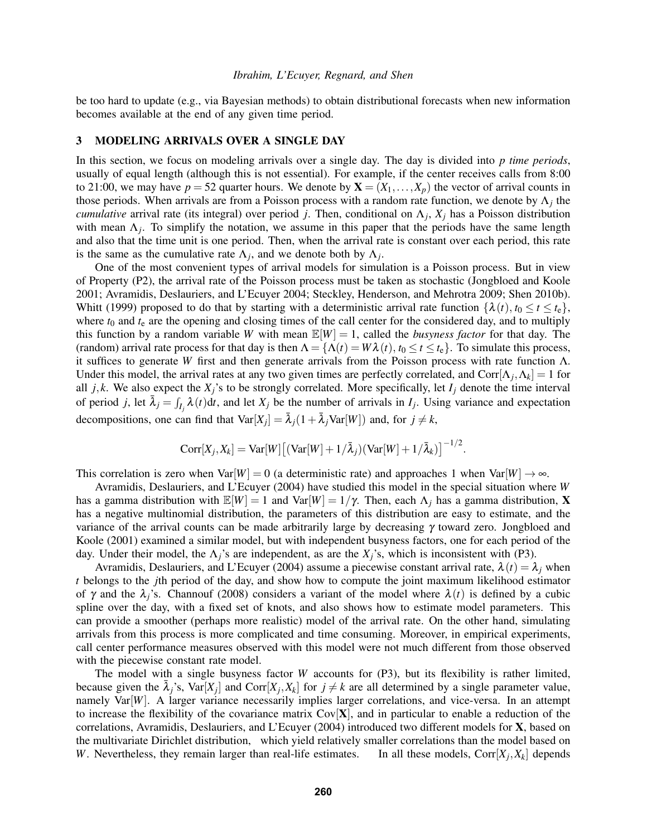be too hard to update (e.g., via Bayesian methods) to obtain distributional forecasts when new information becomes available at the end of any given time period.

#### 3 MODELING ARRIVALS OVER A SINGLE DAY

In this section, we focus on modeling arrivals over a single day. The day is divided into *p time periods*, usually of equal length (although this is not essential). For example, if the center receives calls from 8:00 to 21:00, we may have  $p = 52$  quarter hours. We denote by  $\mathbf{X} = (X_1, \ldots, X_p)$  the vector of arrival counts in those periods. When arrivals are from a Poisson process with a random rate function, we denote by  $\Lambda_j$  the *cumulative* arrival rate (its integral) over period *j*. Then, conditional on Λ*<sup>j</sup>* , *X<sup>j</sup>* has a Poisson distribution with mean  $\Lambda_j$ . To simplify the notation, we assume in this paper that the periods have the same length and also that the time unit is one period. Then, when the arrival rate is constant over each period, this rate is the same as the cumulative rate  $\Lambda_j$ , and we denote both by  $\Lambda_j$ .

One of the most convenient types of arrival models for simulation is a Poisson process. But in view of Property (P2), the arrival rate of the Poisson process must be taken as stochastic (Jongbloed and Koole 2001; Avramidis, Deslauriers, and L'Ecuyer 2004; Steckley, Henderson, and Mehrotra 2009; Shen 2010b). Whitt (1999) proposed to do that by starting with a deterministic arrival rate function  $\{\lambda(t), t_0 \le t \le t_{\rm e}\}\,$ where  $t_0$  and  $t_e$  are the opening and closing times of the call center for the considered day, and to multiply this function by a random variable *W* with mean  $\mathbb{E}[W] = 1$ , called the *busyness factor* for that day. The (random) arrival rate process for that day is then  $\Lambda = {\Lambda(t) = W\lambda(t), t_0 \le t \le t_e}$ . To simulate this process, it suffices to generate *W* first and then generate arrivals from the Poisson process with rate function Λ. Under this model, the arrival rates at any two given times are perfectly correlated, and Corr $[\Lambda_j, \Lambda_k] = 1$  for all  $j, k$ . We also expect the  $X_j$ 's to be strongly correlated. More specifically, let  $I_j$  denote the time interval of period *j*, let  $\bar{\lambda}_j = \int_{I_j} \lambda(t) dt$ , and let  $X_j$  be the number of arrivals in  $I_j$ . Using variance and expectation decompositions, one can find that  $Var[X_j] = \overline{\lambda}_j(1 + \overline{\lambda}_jVar[W])$  and, for  $j \neq k$ ,

$$
Corr[X_j, X_k] = Var[W] [(Var[W] + 1/\overline{\lambda}_j)(Var[W] + 1/\overline{\lambda}_k)]^{-1/2}.
$$

This correlation is zero when Var $[W] = 0$  (a deterministic rate) and approaches 1 when Var $[W] \rightarrow \infty$ .

Avramidis, Deslauriers, and L'Ecuyer (2004) have studied this model in the special situation where *W* has a gamma distribution with  $\mathbb{E}[W] = 1$  and  $\text{Var}[W] = 1/\gamma$ . Then, each  $\Lambda_j$  has a gamma distribution, **X** has a negative multinomial distribution, the parameters of this distribution are easy to estimate, and the variance of the arrival counts can be made arbitrarily large by decreasing  $\gamma$  toward zero. Jongbloed and Koole (2001) examined a similar model, but with independent busyness factors, one for each period of the day. Under their model, the  $\Lambda_i$ 's are independent, as are the  $X_i$ 's, which is inconsistent with (P3).

Avramidis, Deslauriers, and L'Ecuyer (2004) assume a piecewise constant arrival rate,  $\lambda(t) = \lambda_i$  when *t* belongs to the *j*th period of the day, and show how to compute the joint maximum likelihood estimator of  $\gamma$  and the  $\lambda_i$ 's. Channouf (2008) considers a variant of the model where  $\lambda(t)$  is defined by a cubic spline over the day, with a fixed set of knots, and also shows how to estimate model parameters. This can provide a smoother (perhaps more realistic) model of the arrival rate. On the other hand, simulating arrivals from this process is more complicated and time consuming. Moreover, in empirical experiments, call center performance measures observed with this model were not much different from those observed with the piecewise constant rate model.

The model with a single busyness factor *W* accounts for (P3), but its flexibility is rather limited, because given the  $\bar{\lambda}_j$ 's,  $\text{Var}[X_j]$  and  $\text{Corr}[X_j, X_k]$  for  $j \neq k$  are all determined by a single parameter value, namely Var<sup>[*W*]</sup>. A larger variance necessarily implies larger correlations, and vice-versa. In an attempt to increase the flexibility of the covariance matrix  $Cov[X]$ , and in particular to enable a reduction of the correlations, Avramidis, Deslauriers, and L'Ecuyer (2004) introduced two different models for X, based on the multivariate Dirichlet distribution, which yield relatively smaller correlations than the model based on *W*. Nevertheless, they remain larger than real-life estimates. In all these models,  $Corr[X_i, X_k]$  depends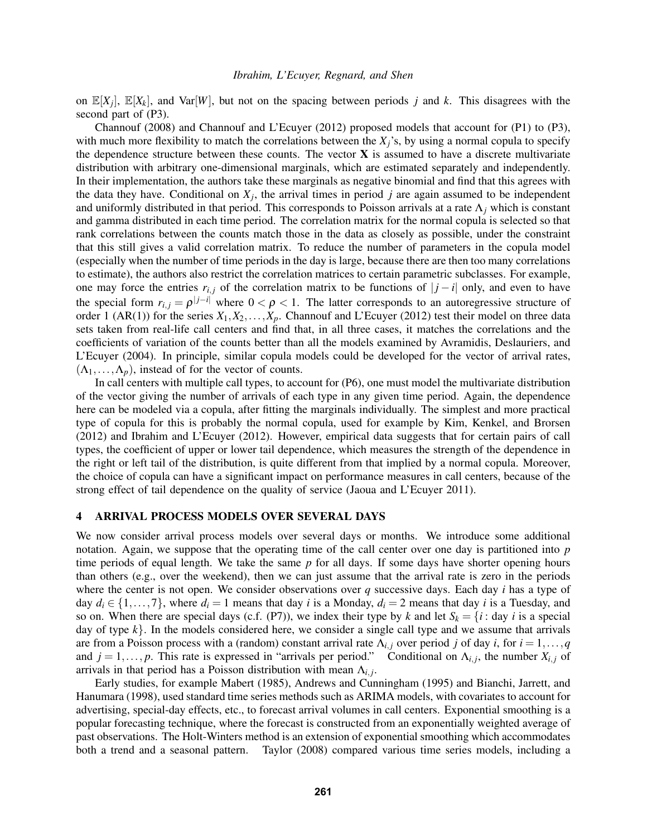on  $\mathbb{E}[X_j]$ ,  $\mathbb{E}[X_k]$ , and  $\text{Var}[W]$ , but not on the spacing between periods *j* and *k*. This disagrees with the second part of (P3).

Channouf (2008) and Channouf and L'Ecuyer (2012) proposed models that account for (P1) to (P3), with much more flexibility to match the correlations between the  $X_i$ 's, by using a normal copula to specify the dependence structure between these counts. The vector  $X$  is assumed to have a discrete multivariate distribution with arbitrary one-dimensional marginals, which are estimated separately and independently. In their implementation, the authors take these marginals as negative binomial and find that this agrees with the data they have. Conditional on  $X_j$ , the arrival times in period  $j$  are again assumed to be independent and uniformly distributed in that period. This corresponds to Poisson arrivals at a rate Λ*<sup>j</sup>* which is constant and gamma distributed in each time period. The correlation matrix for the normal copula is selected so that rank correlations between the counts match those in the data as closely as possible, under the constraint that this still gives a valid correlation matrix. To reduce the number of parameters in the copula model (especially when the number of time periods in the day is large, because there are then too many correlations to estimate), the authors also restrict the correlation matrices to certain parametric subclasses. For example, one may force the entries  $r_{i,j}$  of the correlation matrix to be functions of  $|j - i|$  only, and even to have the special form  $r_{i,j} = \rho^{|j-i|}$  where  $0 < \rho < 1$ . The latter corresponds to an autoregressive structure of order 1 (AR(1)) for the series  $X_1, X_2, \ldots, X_p$ . Channouf and L'Ecuyer (2012) test their model on three data sets taken from real-life call centers and find that, in all three cases, it matches the correlations and the coefficients of variation of the counts better than all the models examined by Avramidis, Deslauriers, and L'Ecuyer (2004). In principle, similar copula models could be developed for the vector of arrival rates,  $(\Lambda_1,\ldots,\Lambda_n)$ , instead of for the vector of counts.

In call centers with multiple call types, to account for (P6), one must model the multivariate distribution of the vector giving the number of arrivals of each type in any given time period. Again, the dependence here can be modeled via a copula, after fitting the marginals individually. The simplest and more practical type of copula for this is probably the normal copula, used for example by Kim, Kenkel, and Brorsen (2012) and Ibrahim and L'Ecuyer (2012). However, empirical data suggests that for certain pairs of call types, the coefficient of upper or lower tail dependence, which measures the strength of the dependence in the right or left tail of the distribution, is quite different from that implied by a normal copula. Moreover, the choice of copula can have a significant impact on performance measures in call centers, because of the strong effect of tail dependence on the quality of service (Jaoua and L'Ecuyer 2011).

## 4 ARRIVAL PROCESS MODELS OVER SEVERAL DAYS

We now consider arrival process models over several days or months. We introduce some additional notation. Again, we suppose that the operating time of the call center over one day is partitioned into *p* time periods of equal length. We take the same *p* for all days. If some days have shorter opening hours than others (e.g., over the weekend), then we can just assume that the arrival rate is zero in the periods where the center is not open. We consider observations over *q* successive days. Each day *i* has a type of day  $d_i \in \{1, \ldots, 7\}$ , where  $d_i = 1$  means that day *i* is a Monday,  $d_i = 2$  means that day *i* is a Tuesday, and so on. When there are special days (c.f. (P7)), we index their type by *k* and let  $S_k = \{i : \text{day } i \text{ is a special}\}\$ day of type  $k$ . In the models considered here, we consider a single call type and we assume that arrivals are from a Poisson process with a (random) constant arrival rate  $\Lambda_{i,j}$  over period *j* of day *i*, for  $i = 1, \ldots, q$ and  $j = 1, \ldots, p$ . This rate is expressed in "arrivals per period." Conditional on  $\Lambda_{i,j}$ , the number  $X_{i,j}$  of arrivals in that period has a Poisson distribution with mean  $\Lambda_{i,j}$ .

Early studies, for example Mabert (1985), Andrews and Cunningham (1995) and Bianchi, Jarrett, and Hanumara (1998), used standard time series methods such as ARIMA models, with covariates to account for advertising, special-day effects, etc., to forecast arrival volumes in call centers. Exponential smoothing is a popular forecasting technique, where the forecast is constructed from an exponentially weighted average of past observations. The Holt-Winters method is an extension of exponential smoothing which accommodates both a trend and a seasonal pattern. Taylor (2008) compared various time series models, including a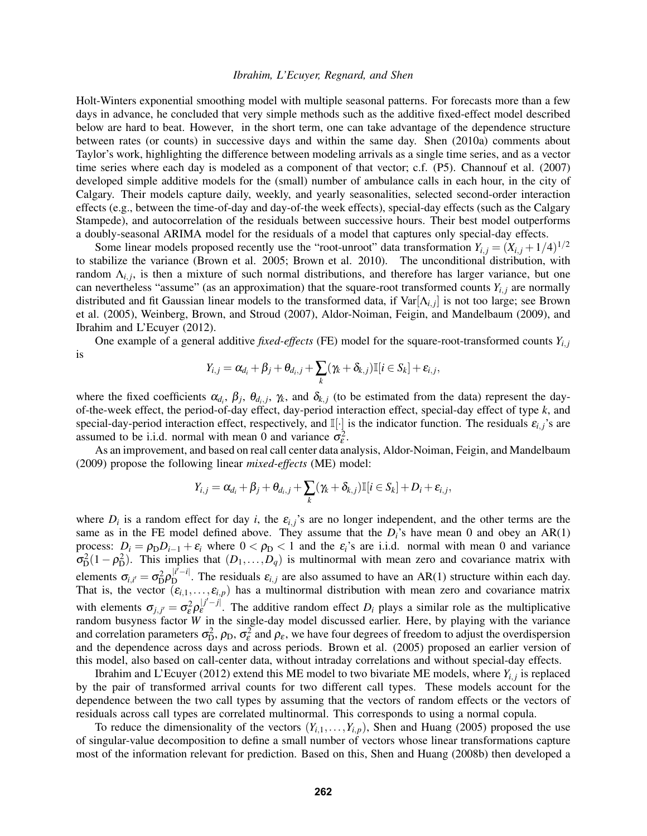Holt-Winters exponential smoothing model with multiple seasonal patterns. For forecasts more than a few days in advance, he concluded that very simple methods such as the additive fixed-effect model described below are hard to beat. However, in the short term, one can take advantage of the dependence structure between rates (or counts) in successive days and within the same day. Shen (2010a) comments about Taylor's work, highlighting the difference between modeling arrivals as a single time series, and as a vector time series where each day is modeled as a component of that vector; c.f. (P5). Channouf et al. (2007) developed simple additive models for the (small) number of ambulance calls in each hour, in the city of Calgary. Their models capture daily, weekly, and yearly seasonalities, selected second-order interaction effects (e.g., between the time-of-day and day-of-the week effects), special-day effects (such as the Calgary Stampede), and autocorrelation of the residuals between successive hours. Their best model outperforms a doubly-seasonal ARIMA model for the residuals of a model that captures only special-day effects.

Some linear models proposed recently use the "root-unroot" data transformation  $Y_{i,j} = (X_{i,j} + 1/4)^{1/2}$ to stabilize the variance (Brown et al. 2005; Brown et al. 2010). The unconditional distribution, with random  $\Lambda_{i,j}$ , is then a mixture of such normal distributions, and therefore has larger variance, but one can nevertheless "assume" (as an approximation) that the square-root transformed counts  $Y_{i,j}$  are normally distributed and fit Gaussian linear models to the transformed data, if  $Var[\Lambda_{i,j}]$  is not too large; see Brown et al. (2005), Weinberg, Brown, and Stroud (2007), Aldor-Noiman, Feigin, and Mandelbaum (2009), and Ibrahim and L'Ecuyer (2012).

One example of a general additive *fixed-effects* (FE) model for the square-root-transformed counts *Yi*, *<sup>j</sup>* is

$$
Y_{i,j} = \alpha_{d_i} + \beta_j + \theta_{d_i,j} + \sum_k (\gamma_k + \delta_{k,j}) \mathbb{I}[i \in S_k] + \varepsilon_{i,j},
$$

where the fixed coefficients  $\alpha_{d_i}$ ,  $\beta_j$ ,  $\theta_{d_i,j}$ ,  $\gamma_k$ , and  $\delta_{k,j}$  (to be estimated from the data) represent the dayof-the-week effect, the period-of-day effect, day-period interaction effect, special-day effect of type *k*, and special-day-period interaction effect, respectively, and  $\mathbb{I}[\cdot]$  is the indicator function. The residuals  $\varepsilon_{i,j}$ 's are assumed to be i.i.d. normal with mean 0 and variance  $\sigma_{\varepsilon}^2$ .

As an improvement, and based on real call center data analysis, Aldor-Noiman, Feigin, and Mandelbaum (2009) propose the following linear *mixed-effects* (ME) model:

$$
Y_{i,j} = \alpha_{d_i} + \beta_j + \theta_{d_i,j} + \sum_k (\gamma_k + \delta_{k,j}) \mathbb{I}[i \in S_k] + D_i + \varepsilon_{i,j},
$$

where  $D_i$  is a random effect for day *i*, the  $\varepsilon_{i,j}$ 's are no longer independent, and the other terms are the same as in the FE model defined above. They assume that the  $D_i$ 's have mean 0 and obey an AR(1) process:  $D_i = \rho_D D_{i-1} + \varepsilon_i$  where  $0 < \rho_D < 1$  and the  $\varepsilon_i$ 's are i.i.d. normal with mean 0 and variance  $\sigma_{\rm D}^2(1-\rho_{\rm D}^2)$ . This implies that  $(D_1,\ldots,D_q)$  is multinormal with mean zero and covariance matrix with elements  $\sigma_{i,i'} = \sigma_{\rm D}^2 \rho_{\rm D}^{|i'-i|}$  $\mathbb{E}_{\mathbf{p}}^{[t]}$ . The residuals  $\varepsilon_{i,j}$  are also assumed to have an AR(1) structure within each day. That is, the vector  $(\varepsilon_{i,1},...,\varepsilon_{i,p})$  has a multinormal distribution with mean zero and covariance matrix with elements  $\sigma_{j,j'} = \sigma_{\varepsilon}^2 \rho_{\varepsilon}^{|j'-j|}$  $\epsilon^{(1)}$ . The additive random effect  $D_i$  plays a similar role as the multiplicative random busyness factor *W* in the single-day model discussed earlier. Here, by playing with the variance and correlation parameters  $\sigma_{D}^2$ ,  $\rho_D$ ,  $\sigma_{\varepsilon}^2$  and  $\rho_{\varepsilon}$ , we have four degrees of freedom to adjust the overdispersion and the dependence across days and across periods. Brown et al. (2005) proposed an earlier version of this model, also based on call-center data, without intraday correlations and without special-day effects.

Ibrahim and L'Ecuyer (2012) extend this ME model to two bivariate ME models, where  $Y_{i,j}$  is replaced by the pair of transformed arrival counts for two different call types. These models account for the dependence between the two call types by assuming that the vectors of random effects or the vectors of residuals across call types are correlated multinormal. This corresponds to using a normal copula.

To reduce the dimensionality of the vectors  $(Y_{i,1},...,Y_{i,p})$ , Shen and Huang (2005) proposed the use of singular-value decomposition to define a small number of vectors whose linear transformations capture most of the information relevant for prediction. Based on this, Shen and Huang (2008b) then developed a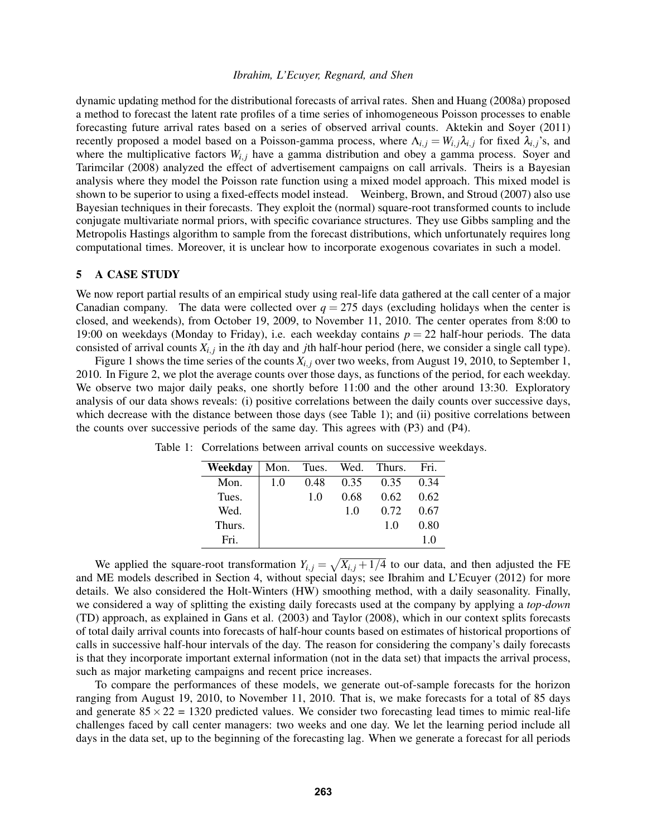dynamic updating method for the distributional forecasts of arrival rates. Shen and Huang (2008a) proposed a method to forecast the latent rate profiles of a time series of inhomogeneous Poisson processes to enable forecasting future arrival rates based on a series of observed arrival counts. Aktekin and Soyer (2011) recently proposed a model based on a Poisson-gamma process, where  $\Lambda_{i,j} = W_{i,j} \lambda_{i,j}$  for fixed  $\lambda_{i,j}$ 's, and where the multiplicative factors  $W_{i,j}$  have a gamma distribution and obey a gamma process. Soyer and Tarimcilar (2008) analyzed the effect of advertisement campaigns on call arrivals. Theirs is a Bayesian analysis where they model the Poisson rate function using a mixed model approach. This mixed model is shown to be superior to using a fixed-effects model instead. Weinberg, Brown, and Stroud (2007) also use Bayesian techniques in their forecasts. They exploit the (normal) square-root transformed counts to include conjugate multivariate normal priors, with specific covariance structures. They use Gibbs sampling and the Metropolis Hastings algorithm to sample from the forecast distributions, which unfortunately requires long computational times. Moreover, it is unclear how to incorporate exogenous covariates in such a model.

### 5 A CASE STUDY

We now report partial results of an empirical study using real-life data gathered at the call center of a major Canadian company. The data were collected over  $q = 275$  days (excluding holidays when the center is closed, and weekends), from October 19, 2009, to November 11, 2010. The center operates from 8:00 to 19:00 on weekdays (Monday to Friday), i.e. each weekday contains  $p = 22$  half-hour periods. The data consisted of arrival counts  $X_{i,j}$  in the *i*th day and *j*th half-hour period (here, we consider a single call type).

Figure 1 shows the time series of the counts  $X_{i,j}$  over two weeks, from August 19, 2010, to September 1, 2010. In Figure 2, we plot the average counts over those days, as functions of the period, for each weekday. We observe two major daily peaks, one shortly before 11:00 and the other around 13:30. Exploratory analysis of our data shows reveals: (i) positive correlations between the daily counts over successive days, which decrease with the distance between those days (see Table 1); and (ii) positive correlations between the counts over successive periods of the same day. This agrees with (P3) and (P4).

| Weekday |     |      |      | Mon. Tues. Wed. Thurs. | Fri. |
|---------|-----|------|------|------------------------|------|
| Mon.    | 1.0 | 0.48 | 0.35 | 0.35                   | 0.34 |
| Tues.   |     | 1.0  | 0.68 | 0.62                   | 0.62 |
| Wed.    |     |      | 10   | 0.72                   | 0.67 |
| Thurs.  |     |      |      | 10                     | 0.80 |
| Fri     |     |      |      |                        | 10   |

Table 1: Correlations between arrival counts on successive weekdays.

We applied the square-root transformation  $Y_{i,j} = \sqrt{X_{i,j} + 1/4}$  to our data, and then adjusted the FE and ME models described in Section 4, without special days; see Ibrahim and L'Ecuyer (2012) for more details. We also considered the Holt-Winters (HW) smoothing method, with a daily seasonality. Finally, we considered a way of splitting the existing daily forecasts used at the company by applying a *top-down* (TD) approach, as explained in Gans et al. (2003) and Taylor (2008), which in our context splits forecasts of total daily arrival counts into forecasts of half-hour counts based on estimates of historical proportions of calls in successive half-hour intervals of the day. The reason for considering the company's daily forecasts is that they incorporate important external information (not in the data set) that impacts the arrival process, such as major marketing campaigns and recent price increases.

To compare the performances of these models, we generate out-of-sample forecasts for the horizon ranging from August 19, 2010, to November 11, 2010. That is, we make forecasts for a total of 85 days and generate  $85 \times 22 = 1320$  predicted values. We consider two forecasting lead times to mimic real-life challenges faced by call center managers: two weeks and one day. We let the learning period include all days in the data set, up to the beginning of the forecasting lag. When we generate a forecast for all periods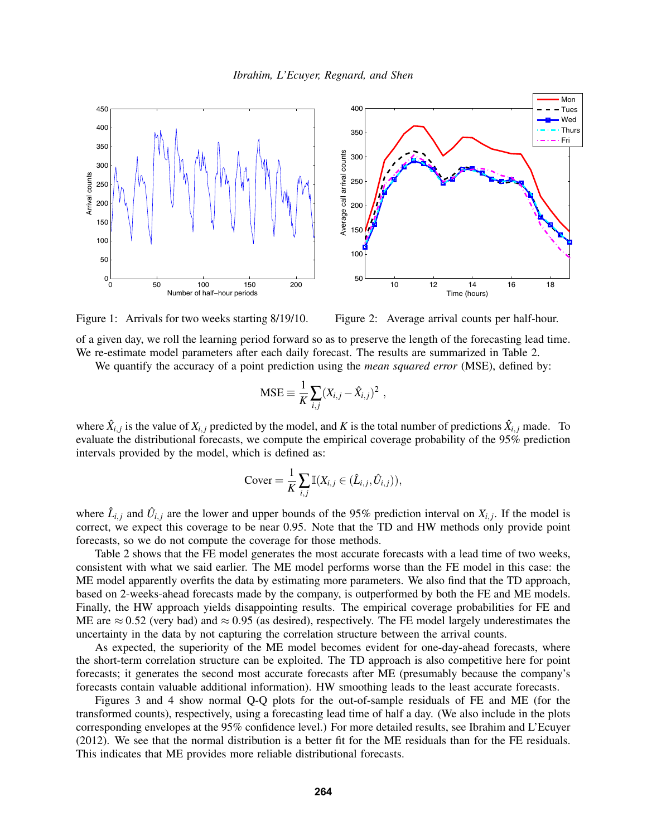

Figure 1: Arrivals for two weeks starting 8/19/10.

Figure 2: Average arrival counts per half-hour.

of a given day, we roll the learning period forward so as to preserve the length of the forecasting lead time. We re-estimate model parameters after each daily forecast. The results are summarized in Table 2.

We quantify the accuracy of a point prediction using the *mean squared error* (MSE), defined by:

$$
MSE \equiv \frac{1}{K} \sum_{i,j} (X_{i,j} - \hat{X}_{i,j})^2 ,
$$

where  $\hat{X}_{i,j}$  is the value of  $X_{i,j}$  predicted by the model, and K is the total number of predictions  $\hat{X}_{i,j}$  made. To evaluate the distributional forecasts, we compute the empirical coverage probability of the 95% prediction intervals provided by the model, which is defined as:

$$
Cover = \frac{1}{K} \sum_{i,j} \mathbb{I}(X_{i,j} \in (\hat{L}_{i,j}, \hat{U}_{i,j})),
$$

where  $\hat{L}_{i,j}$  and  $\hat{U}_{i,j}$  are the lower and upper bounds of the 95% prediction interval on  $X_{i,j}$ . If the model is correct, we expect this coverage to be near 0.95. Note that the TD and HW methods only provide point forecasts, so we do not compute the coverage for those methods.

Table 2 shows that the FE model generates the most accurate forecasts with a lead time of two weeks, consistent with what we said earlier. The ME model performs worse than the FE model in this case: the ME model apparently overfits the data by estimating more parameters. We also find that the TD approach, based on 2-weeks-ahead forecasts made by the company, is outperformed by both the FE and ME models. Finally, the HW approach yields disappointing results. The empirical coverage probabilities for FE and ME are  $\approx$  0.52 (very bad) and  $\approx$  0.95 (as desired), respectively. The FE model largely underestimates the uncertainty in the data by not capturing the correlation structure between the arrival counts.

As expected, the superiority of the ME model becomes evident for one-day-ahead forecasts, where the short-term correlation structure can be exploited. The TD approach is also competitive here for point forecasts; it generates the second most accurate forecasts after ME (presumably because the company's forecasts contain valuable additional information). HW smoothing leads to the least accurate forecasts.

Figures 3 and 4 show normal Q-Q plots for the out-of-sample residuals of FE and ME (for the transformed counts), respectively, using a forecasting lead time of half a day. (We also include in the plots corresponding envelopes at the 95% confidence level.) For more detailed results, see Ibrahim and L'Ecuyer (2012). We see that the normal distribution is a better fit for the ME residuals than for the FE residuals. This indicates that ME provides more reliable distributional forecasts.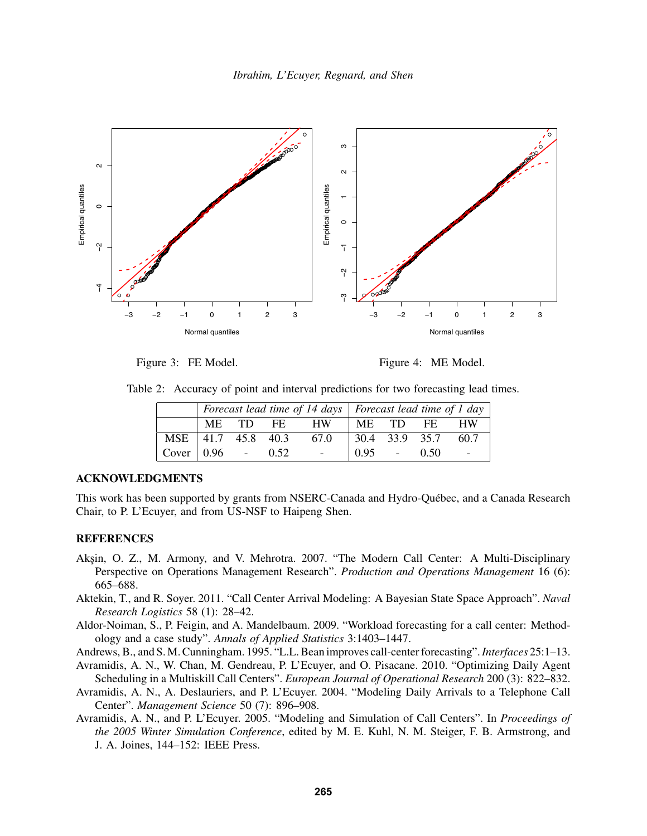

Figure 3: FE Model.

Figure 4: ME Model.

Table 2: Accuracy of point and interval predictions for two forecasting lead times.

|                                 | Forecast lead time of 14 days   Forecast lead time of 1 day |  |  |                          |                        |  |  |      |
|---------------------------------|-------------------------------------------------------------|--|--|--------------------------|------------------------|--|--|------|
|                                 |                                                             |  |  | ME TD FE HW              | IME TD FE              |  |  | HW   |
| MSE   41.7 45.8 40.3            |                                                             |  |  | 67.0                     | $\vert$ 30.4 33.9 35.7 |  |  | 60.7 |
| Cover $\vert 0.96 - 0.52 \vert$ |                                                             |  |  | <b>Contract Contract</b> | $0.95 - 0.50$          |  |  |      |

## ACKNOWLEDGMENTS

This work has been supported by grants from NSERC-Canada and Hydro-Québec, and a Canada Research Chair, to P. L'Ecuyer, and from US-NSF to Haipeng Shen.

### REFERENCES

- Akşin, O. Z., M. Armony, and V. Mehrotra. 2007. "The Modern Call Center: A Multi-Disciplinary Perspective on Operations Management Research". *Production and Operations Management* 16 (6): 665–688.
- Aktekin, T., and R. Soyer. 2011. "Call Center Arrival Modeling: A Bayesian State Space Approach". *Naval Research Logistics* 58 (1): 28–42.
- Aldor-Noiman, S., P. Feigin, and A. Mandelbaum. 2009. "Workload forecasting for a call center: Methodology and a case study". *Annals of Applied Statistics* 3:1403–1447.
- Andrews, B., and S. M. Cunningham. 1995. "L.L. Bean improves call-center forecasting".*Interfaces* 25:1–13.
- Avramidis, A. N., W. Chan, M. Gendreau, P. L'Ecuyer, and O. Pisacane. 2010. "Optimizing Daily Agent Scheduling in a Multiskill Call Centers". *European Journal of Operational Research* 200 (3): 822–832.
- Avramidis, A. N., A. Deslauriers, and P. L'Ecuyer. 2004. "Modeling Daily Arrivals to a Telephone Call Center". *Management Science* 50 (7): 896–908.
- Avramidis, A. N., and P. L'Ecuyer. 2005. "Modeling and Simulation of Call Centers". In *Proceedings of the 2005 Winter Simulation Conference*, edited by M. E. Kuhl, N. M. Steiger, F. B. Armstrong, and J. A. Joines, 144–152: IEEE Press.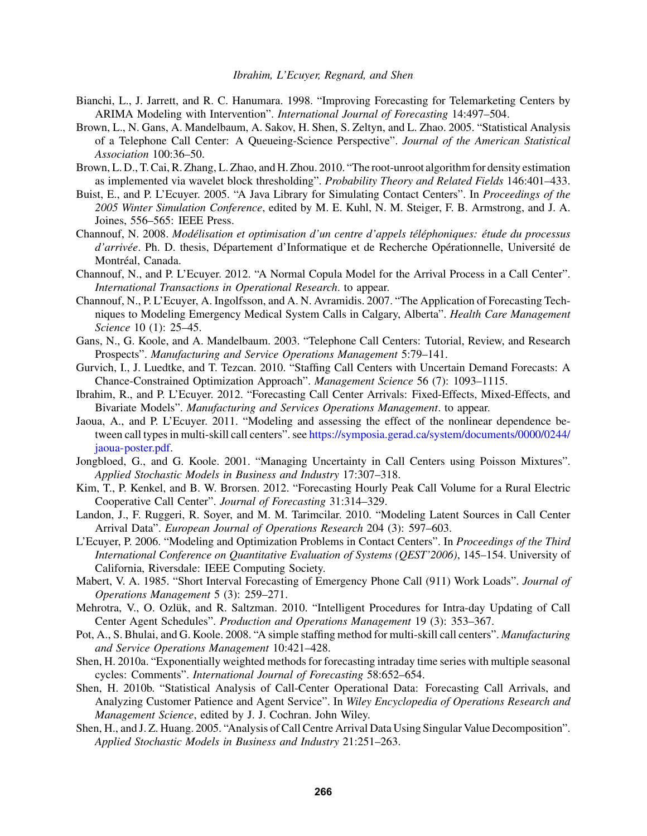- Bianchi, L., J. Jarrett, and R. C. Hanumara. 1998. "Improving Forecasting for Telemarketing Centers by ARIMA Modeling with Intervention". *International Journal of Forecasting* 14:497–504.
- Brown, L., N. Gans, A. Mandelbaum, A. Sakov, H. Shen, S. Zeltyn, and L. Zhao. 2005. "Statistical Analysis of a Telephone Call Center: A Queueing-Science Perspective". *Journal of the American Statistical Association* 100:36–50.
- Brown, L. D., T. Cai, R. Zhang, L. Zhao, and H. Zhou. 2010. "The root-unroot algorithm for density estimation as implemented via wavelet block thresholding". *Probability Theory and Related Fields* 146:401–433.
- Buist, E., and P. L'Ecuyer. 2005. "A Java Library for Simulating Contact Centers". In *Proceedings of the 2005 Winter Simulation Conference*, edited by M. E. Kuhl, N. M. Steiger, F. B. Armstrong, and J. A. Joines, 556–565: IEEE Press.
- Channouf, N. 2008. *Modélisation et optimisation d'un centre d'appels téléphoniques: étude du processus d'arrivée*. Ph. D. thesis, Département d'Informatique et de Recherche Opérationnelle, Université de Montréal, Canada.
- Channouf, N., and P. L'Ecuyer. 2012. "A Normal Copula Model for the Arrival Process in a Call Center". *International Transactions in Operational Research*. to appear.
- Channouf, N., P. L'Ecuyer, A. Ingolfsson, and A. N. Avramidis. 2007. "The Application of Forecasting Techniques to Modeling Emergency Medical System Calls in Calgary, Alberta". *Health Care Management Science* 10 (1): 25–45.
- Gans, N., G. Koole, and A. Mandelbaum. 2003. "Telephone Call Centers: Tutorial, Review, and Research Prospects". *Manufacturing and Service Operations Management* 5:79–141.
- Gurvich, I., J. Luedtke, and T. Tezcan. 2010. "Staffing Call Centers with Uncertain Demand Forecasts: A Chance-Constrained Optimization Approach". *Management Science* 56 (7): 1093–1115.
- Ibrahim, R., and P. L'Ecuyer. 2012. "Forecasting Call Center Arrivals: Fixed-Effects, Mixed-Effects, and Bivariate Models". *Manufacturing and Services Operations Management*. to appear.
- Jaoua, A., and P. L'Ecuyer. 2011. "Modeling and assessing the effect of the nonlinear dependence between call types in multi-skill call centers". see https://symposia.gerad.ca/system/documents/0000/0244/ jaoua-poster.pdf.
- Jongbloed, G., and G. Koole. 2001. "Managing Uncertainty in Call Centers using Poisson Mixtures". *Applied Stochastic Models in Business and Industry* 17:307–318.
- Kim, T., P. Kenkel, and B. W. Brorsen. 2012. "Forecasting Hourly Peak Call Volume for a Rural Electric Cooperative Call Center". *Journal of Forecasting* 31:314–329.
- Landon, J., F. Ruggeri, R. Soyer, and M. M. Tarimcilar. 2010. "Modeling Latent Sources in Call Center Arrival Data". *European Journal of Operations Research* 204 (3): 597–603.
- L'Ecuyer, P. 2006. "Modeling and Optimization Problems in Contact Centers". In *Proceedings of the Third International Conference on Quantitative Evaluation of Systems (QEST'2006)*, 145–154. University of California, Riversdale: IEEE Computing Society.
- Mabert, V. A. 1985. "Short Interval Forecasting of Emergency Phone Call (911) Work Loads". *Journal of Operations Management* 5 (3): 259–271.
- Mehrotra, V., O. Ozlük, and R. Saltzman. 2010. "Intelligent Procedures for Intra-day Updating of Call Center Agent Schedules". *Production and Operations Management* 19 (3): 353–367.
- Pot, A., S. Bhulai, and G. Koole. 2008. "A simple staffing method for multi-skill call centers". *Manufacturing and Service Operations Management* 10:421–428.
- Shen, H. 2010a. "Exponentially weighted methods for forecasting intraday time series with multiple seasonal cycles: Comments". *International Journal of Forecasting* 58:652–654.
- Shen, H. 2010b. "Statistical Analysis of Call-Center Operational Data: Forecasting Call Arrivals, and Analyzing Customer Patience and Agent Service". In *Wiley Encyclopedia of Operations Research and Management Science*, edited by J. J. Cochran. John Wiley.
- Shen, H., and J. Z. Huang. 2005. "Analysis of Call Centre Arrival Data Using Singular Value Decomposition". *Applied Stochastic Models in Business and Industry* 21:251–263.